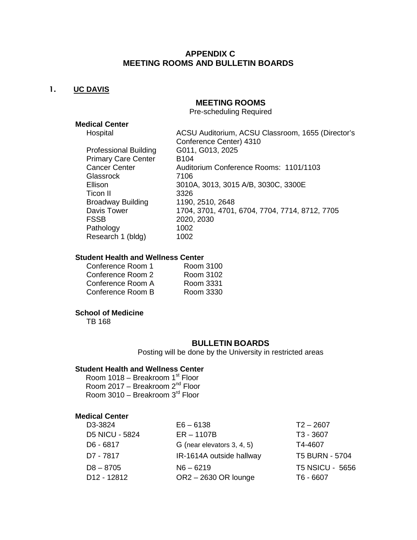# **APPENDIX C MEETING ROOMS AND BULLETIN BOARDS**

# 1. **UC DAVIS**

# **MEETING ROOMS**

Pre-scheduling Required

# **Medical Center**

| Hospital                     | ACSU Auditorium, ACSU Classroom, 1655 (Director's |
|------------------------------|---------------------------------------------------|
|                              | Conference Center) 4310                           |
| <b>Professional Building</b> | G011, G013, 2025                                  |
| <b>Primary Care Center</b>   | <b>B104</b>                                       |
| <b>Cancer Center</b>         | Auditorium Conference Rooms: 1101/1103            |
| Glassrock                    | 7106                                              |
| Ellison                      | 3010A, 3013, 3015 A/B, 3030C, 3300E               |
| Ticon II                     | 3326                                              |
| <b>Broadway Building</b>     | 1190, 2510, 2648                                  |
| Davis Tower                  | 1704, 3701, 4701, 6704, 7704, 7714, 8712, 7705    |
| <b>FSSB</b>                  | 2020, 2030                                        |
| Pathology                    | 1002                                              |
| Research 1 (bldg)            | 1002                                              |
|                              |                                                   |

#### **Student Health and Wellness Center**

| Room 3100 |
|-----------|
| Room 3102 |
| Room 3331 |
| Room 3330 |
|           |

# **School of Medicine**

TB 168

#### **BULLETIN BOARDS**

Posting will be done by the University in restricted areas

#### **Student Health and Wellness Center**

Room 1018 – Breakroom 1st Floor Room 2017 – Breakroom 2<sup>nd</sup> Floor Room 3010 – Breakroom 3<sup>rd</sup> Floor

#### **Medical Center**

| D3-3824                 | $E6 - 6138$                | $T2 - 2607$            |
|-------------------------|----------------------------|------------------------|
| <b>D5 NICU - 5824</b>   | $ER - 1107B$               | T3 - 3607              |
| D6 - 6817               | G (near elevators 3, 4, 5) | T4-4607                |
| D7 - 7817               | IR-1614A outside hallway   | <b>T5 BURN - 5704</b>  |
| $D8 - 8705$             | $N6 - 6219$                | <b>T5 NSICU - 5656</b> |
| D <sub>12</sub> - 12812 | OR2-2630 OR lounge         | T6 - 6607              |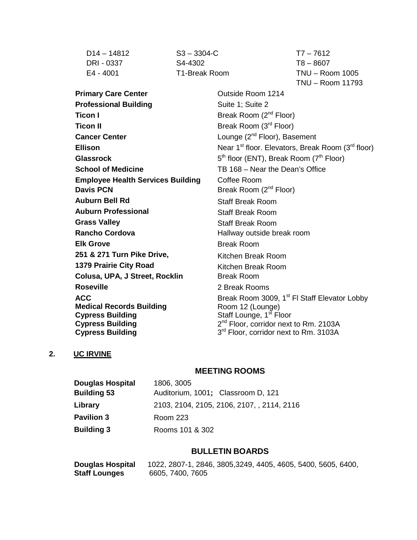D14 – 14812 S3 – 3304-C T7 – 7612

DRI - 0337 S4-4302 T8 – 8607

E4 - 4001 T1-Break Room TNU – Room 1005 TNU – Room 11793

**Primary Care Center Care Center Care Center Care Center Care Center Care Center Professional Building** Suite 1; Suite 2 **Ticon I** Break Room (2<sup>nd</sup> Floor) **Ticon II** Break Room (3<sup>rd</sup> Floor) **Cancer Center Cancer Center Lounge** (2<sup>nd</sup> Floor), Basement **School of Medicine** TB 168 – Near the Dean's Office **Employee Health Services Building Coffee Room Davis PCN** Break Room (2<sup>nd</sup> Floor) **Auburn Bell Rd** Staff Break Room **Auburn Professional** Staff Break Room **Grass Valley Staff Break Room Rancho Cordova** Hallway outside break room **Elk Grove** Break Room 251 & 271 Turn Pike Drive, **Kitchen Break Room 1379 Prairie City Road** Kitchen Break Room **Colusa, UPA, J Street, Rocklin** Break Room **Roseville** 2 Break Rooms **ACC Medical Records Building Cypress Building Cypress Building Cypress Building**

**Ellison** Near 1<sup>st</sup> floor. Elevators, Break Room (3<sup>rd</sup> floor) **Glassrock** 5<sup>th</sup> floor (ENT), Break Room (7<sup>th</sup> Floor) Break Room 3009, 1<sup>st</sup> FI Staff Elevator Lobby Room 12 (Lounge) Staff Lounge, 1<sup>st</sup> Floor 2<sup>nd</sup> Floor, corridor next to Rm. 2103A  $3<sup>rd</sup>$  Floor, corridor next to Rm. 3103A

# **2. UC IRVINE**

# **MEETING ROOMS**

| <b>Douglas Hospital</b> | 1806, 3005                                 |
|-------------------------|--------------------------------------------|
| <b>Building 53</b>      | Auditorium, 1001; Classroom D, 121         |
| Library                 | 2103, 2104, 2105, 2106, 2107, , 2114, 2116 |
| <b>Pavilion 3</b>       | Room 223                                   |
| <b>Building 3</b>       | Rooms 101 & 302                            |

# **BULLETIN BOARDS**

| Douglas Hospital | 1022, 2807-1, 2846, 3805, 3249, 4405, 4605, 5400, 5605, 6400, |
|------------------|---------------------------------------------------------------|
| Staff Lounges    | 6605, 7400, 7605                                              |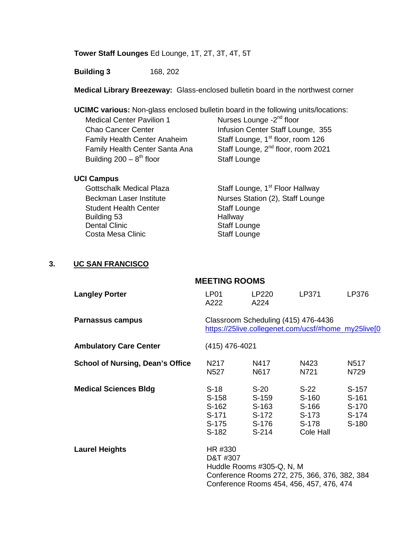# **Tower Staff Lounges** Ed Lounge, 1T, 2T, 3T, 4T, 5T

**Building 3** 168, 202

**Medical Library Breezeway:** Glass-enclosed bulletin board in the northwest corner

**UCIMC various:** Non-glass enclosed bulletin board in the following units/locations:

| Nurses Lounge -2 <sup>nd</sup> floor           |
|------------------------------------------------|
| Infusion Center Staff Lounge, 355              |
| Staff Lounge, 1 <sup>st</sup> floor, room 126  |
| Staff Lounge, 2 <sup>nd</sup> floor, room 2021 |
| <b>Staff Lounge</b>                            |
|                                                |

# **UCI Campus**

| <b>Gottschalk Medical Plaza</b> | Staff Lounge, 1 <sup>st</sup> Floor Hallway |
|---------------------------------|---------------------------------------------|
| Beckman Laser Institute         | Nurses Station (2), Staff Lounge            |
| <b>Student Health Center</b>    | <b>Staff Lounge</b>                         |
| Building 53                     | Hallway                                     |
| <b>Dental Clinic</b>            | <b>Staff Lounge</b>                         |
| Costa Mesa Clinic               | <b>Staff Lounge</b>                         |

# **3. UC SAN FRANCISCO**

| <b>MEETING ROOMS</b>                    |                                                                                                                                               |                                                       |                                                         |                                               |  |  |
|-----------------------------------------|-----------------------------------------------------------------------------------------------------------------------------------------------|-------------------------------------------------------|---------------------------------------------------------|-----------------------------------------------|--|--|
| <b>Langley Porter</b>                   | LP01<br>A222                                                                                                                                  | LP220<br>A224                                         | LP371                                                   | LP376                                         |  |  |
| Parnassus campus                        | Classroom Scheduling (415) 476-4436<br>https://25live.collegenet.com/ucsf/#home_my25live[0                                                    |                                                       |                                                         |                                               |  |  |
| <b>Ambulatory Care Center</b>           | (415) 476-4021                                                                                                                                |                                                       |                                                         |                                               |  |  |
| <b>School of Nursing, Dean's Office</b> | N217<br>N <sub>527</sub>                                                                                                                      | N417<br>N617                                          | N423<br>N721                                            | N517<br>N729                                  |  |  |
| <b>Medical Sciences Bldg</b>            | $S-18$<br>S-158<br>S-162<br>S-171<br>S-175<br>$S-182$                                                                                         | $S-20$<br>S-159<br>S-163<br>S-172<br>S-176<br>$S-214$ | $S-22$<br>S-160<br>S-166<br>S-173<br>S-178<br>Cole Hall | $S-157$<br>S-161<br>S-170<br>$S-174$<br>S-180 |  |  |
| <b>Laurel Heights</b>                   | HR #330<br>D&T #307<br>Huddle Rooms #305-Q, N, M<br>Conference Rooms 272, 275, 366, 376, 382, 384<br>Conference Rooms 454, 456, 457, 476, 474 |                                                       |                                                         |                                               |  |  |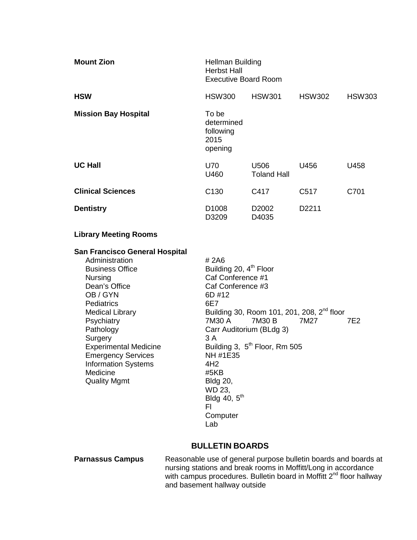| <b>Mount Zion</b>           | Hellman Building<br><b>Herbst Hall</b><br><b>Executive Board Room</b> |                            |                   |               |
|-----------------------------|-----------------------------------------------------------------------|----------------------------|-------------------|---------------|
| <b>HSW</b>                  | <b>HSW300</b>                                                         | <b>HSW301</b>              | <b>HSW302</b>     | <b>HSW303</b> |
| <b>Mission Bay Hospital</b> | To be<br>determined<br>following<br>2015<br>opening                   |                            |                   |               |
| <b>UC Hall</b>              | U70<br>U460                                                           | U506<br><b>Toland Hall</b> | U456              | U458          |
| <b>Clinical Sciences</b>    | C <sub>130</sub>                                                      | C417                       | C <sub>517</sub>  | C701          |
| <b>Dentistry</b>            | D <sub>1008</sub><br>D3209                                            | D <sub>2002</sub><br>D4035 | D <sub>2211</sub> |               |

# **Library Meeting Rooms**

#### **San Francisco General Hospital**

| Administration               | # 2A6                                                  |
|------------------------------|--------------------------------------------------------|
| <b>Business Office</b>       | Building 20, 4 <sup>th</sup> Floor                     |
| <b>Nursing</b>               | Caf Conference #1                                      |
| Dean's Office                | Caf Conference #3                                      |
| OB/GYN                       | 6D #12                                                 |
| <b>Pediatrics</b>            | 6E7                                                    |
| <b>Medical Library</b>       | Building 30, Room 101, 201, 208, 2 <sup>nd</sup> floor |
| Psychiatry                   | 7M30 A<br>7M27<br>7M30 B<br>7E2                        |
| Pathology                    | Carr Auditorium (BLdg 3)                               |
| Surgery                      | 3 A                                                    |
| <b>Experimental Medicine</b> | Building 3, 5 <sup>th</sup> Floor, Rm 505              |
| <b>Emergency Services</b>    | NH #1E35                                               |
| <b>Information Systems</b>   | 4H2                                                    |
| Medicine                     | #5KB                                                   |
| <b>Quality Mgmt</b>          | <b>Bldg 20,</b>                                        |
|                              | WD 23,                                                 |
|                              | Bldg 40, $5th$                                         |
|                              | FI                                                     |
|                              | Computer                                               |

# **BULLETIN BOARDS**

Lab

**Parnassus Campus** Reasonable use of general purpose bulletin boards and boards at nursing stations and break rooms in Moffitt/Long in accordance with campus procedures. Bulletin board in Moffitt 2<sup>nd</sup> floor hallway and basement hallway outside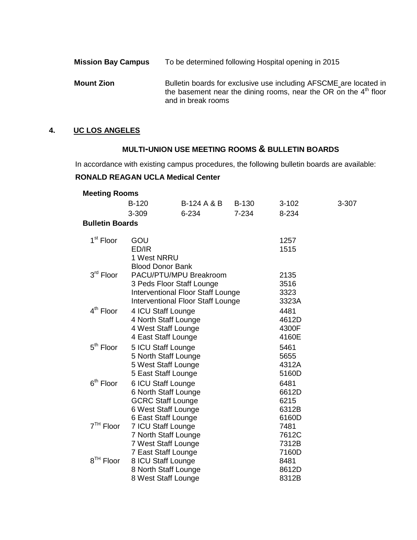| <b>Mission Bay Campus</b> | To be determined following Hospital opening in 2015                                                                                                           |
|---------------------------|---------------------------------------------------------------------------------------------------------------------------------------------------------------|
| <b>Mount Zion</b>         | Bulletin boards for exclusive use including AFSCME are located in<br>the basement near the dining rooms, near the OR on the $4th$ floor<br>and in break rooms |

# **4. UC LOS ANGELES**

# **MULTI-UNION USE MEETING ROOMS & BULLETIN BOARDS**

In accordance with existing campus procedures, the following bulletin boards are available:

# **RONALD REAGAN UCLA Medical Center**

| Meeting Rooms          |                                   |                        |              |           |       |
|------------------------|-----------------------------------|------------------------|--------------|-----------|-------|
|                        | B-120                             | <b>B-124 A &amp; B</b> | <b>B-130</b> | $3 - 102$ | 3-307 |
|                        | 3-309                             | 6-234                  | 7-234        | 8-234     |       |
| <b>Bulletin Boards</b> |                                   |                        |              |           |       |
| 1 <sup>st</sup> Floor  | GOU                               |                        |              | 1257      |       |
|                        | ED/IR                             |                        |              | 1515      |       |
|                        | 1 West NRRU                       |                        |              |           |       |
|                        | <b>Blood Donor Bank</b>           |                        |              |           |       |
| 3rd Floor              | PACU/PTU/MPU Breakroom            |                        |              | 2135      |       |
|                        | 3 Peds Floor Staff Lounge         |                        |              | 3516      |       |
|                        | Interventional Floor Staff Lounge |                        |              | 3323      |       |
|                        | Interventional Floor Staff Lounge |                        |              | 3323A     |       |
| 4 <sup>th</sup> Floor  | 4 ICU Staff Lounge                |                        |              | 4481      |       |
|                        | 4 North Staff Lounge              |                        |              | 4612D     |       |
|                        | 4 West Staff Lounge               |                        |              | 4300F     |       |
|                        | 4 East Staff Lounge               |                        |              | 4160E     |       |
| 5 <sup>th</sup> Floor  | 5 ICU Staff Lounge                |                        |              | 5461      |       |
|                        | 5 North Staff Lounge              |                        |              | 5655      |       |
|                        | 5 West Staff Lounge               |                        |              | 4312A     |       |
|                        | 5 East Staff Lounge               |                        |              | 5160D     |       |
| 6 <sup>th</sup> Floor  | 6 ICU Staff Lounge                |                        |              | 6481      |       |
|                        | 6 North Staff Lounge              |                        |              | 6612D     |       |
|                        | <b>GCRC Staff Lounge</b>          |                        |              | 6215      |       |
|                        | 6 West Staff Lounge               |                        |              | 6312B     |       |
|                        | 6 East Staff Lounge               |                        |              | 6160D     |       |
| 7 <sup>TH</sup> Floor  | 7 ICU Staff Lounge                |                        |              | 7481      |       |
|                        | 7 North Staff Lounge              |                        |              | 7612C     |       |
|                        | 7 West Staff Lounge               |                        |              | 7312B     |       |
|                        | 7 East Staff Lounge               |                        |              | 7160D     |       |
| 8 <sup>TH</sup> Floor  | 8 ICU Staff Lounge                |                        |              | 8481      |       |
|                        | 8 North Staff Lounge              |                        |              | 8612D     |       |
|                        | 8 West Staff Lounge               |                        |              | 8312B     |       |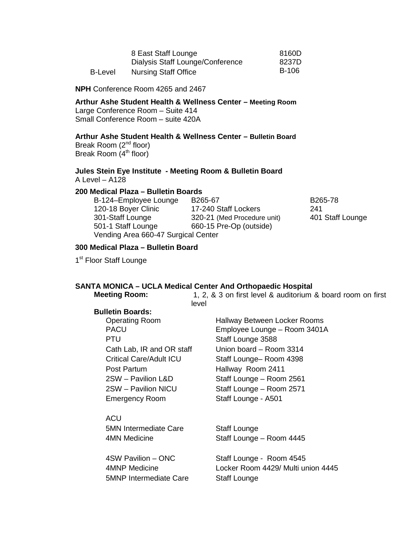|         | 8 East Staff Lounge              |       |
|---------|----------------------------------|-------|
|         | Dialysis Staff Lounge/Conference | 8237D |
| B-Level | <b>Nursing Staff Office</b>      | B-106 |

**NPH** Conference Room 4265 and 2467

**Arthur Ashe Student Health & Wellness Center – Meeting Room**  Large Conference Room – Suite 414

Small Conference Room – suite 420A

# **Arthur Ashe Student Health & Wellness Center – Bulletin Board**

Break Room (2<sup>nd</sup> floor) Break Room (4<sup>th</sup> floor)

#### **Jules Stein Eye Institute - Meeting Room & Bulletin Board** A Level – A128

**200 Medical Plaza – Bulletin Boards**

| B-124-Employee Lounge               | B <sub>265</sub> -67        | B265-78          |
|-------------------------------------|-----------------------------|------------------|
| 120-18 Boyer Clinic                 | 17-240 Staff Lockers        | 241              |
| 301-Staff Lounge                    | 320-21 (Med Procedure unit) | 401 Staff Lounge |
| 501-1 Staff Lounge                  | 660-15 Pre-Op (outside)     |                  |
| Vending Area 660-47 Surgical Center |                             |                  |

# **300 Medical Plaza – Bulletin Board**

1<sup>st</sup> Floor Staff Lounge

# **SANTA MONICA – UCLA Medical Center And Orthopaedic Hospital**

**Meeting Room:** 1, 2, & 3 on first level & auditorium & board room on first level

#### **Bulletin Boards:**

PTU Cath Lab, IR and OR staff Post Partum Hallway Room 2411 Emergency Room Staff Lounge - A501

**ACU** 5MN Intermediate Care 4MN Medicine

4SW Pavilion – ONC 4MNP Medicine 5MNP Intermediate Care

Operating Room Hallway Between Locker Rooms PACU Employee Lounge – Room 3401A Staff Lounge 3588 Union board – Room 3314 Critical Care/Adult ICU Staff Lounge– Room 4398 2SW – Pavilion L&D Staff Lounge – Room 2561 2SW – Pavilion NICU Staff Lounge – Room 2571

> Staff Lounge Staff Lounge – Room 4445

Staff Lounge - Room 4545 Locker Room 4429/ Multi union 4445 Staff Lounge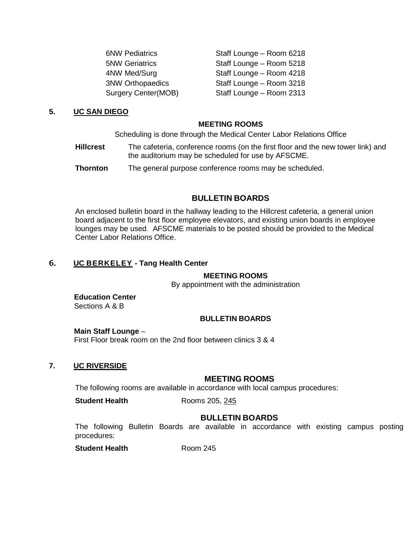| <b>6NW Pediatrics</b>      | Staff Lounge - Room 6218 |
|----------------------------|--------------------------|
| <b>5NW Geriatrics</b>      | Staff Lounge - Room 5218 |
| 4NW Med/Surg               | Staff Lounge - Room 4218 |
| <b>3NW Orthopaedics</b>    | Staff Lounge - Room 3218 |
| <b>Surgery Center(MOB)</b> | Staff Lounge - Room 2313 |
|                            |                          |

#### **5. UC SAN DIEGO**

#### **MEETING ROOMS**

Scheduling is done through the Medical Center Labor Relations Office

- **Hillcrest** The cafeteria, conference rooms (on the first floor and the new tower link) and the auditorium may be scheduled for use by AFSCME.
- **Thornton** The general purpose conference rooms may be scheduled.

# **BULLETIN BOARDS**

An enclosed bulletin board in the hallway leading to the Hillcrest cafeteria, a general union board adjacent to the first floor employee elevators, and existing union boards in employee lounges may be used. AFSCME materials to be posted should be provided to the Medical Center Labor Relations Office.

# 6. **UC BERKELEY - Tang Health Center**

#### **MEETING ROOMS**

By appointment with the administration

**Education Center** Sections A & B

#### **BULLETIN BOARDS**

#### **Main Staff Lounge** –

First Floor break room on the 2nd floor between clinics 3 & 4

#### **7. UC RIVERSIDE**

## **MEETING ROOMS**

The following rooms are available in accordance with local campus procedures:

**Student Health** Rooms 205, 245

#### **BULLETIN BOARDS**

The following Bulletin Boards are available in accordance with existing campus posting procedures:

**Student Health** Room 245